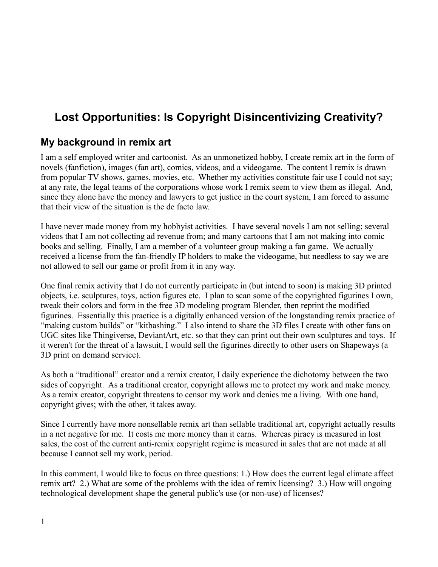# **Lost Opportunities: Is Copyright Disincentivizing Creativity?**

# **My background in remix art**

I am a self employed writer and cartoonist. As an unmonetized hobby, I create remix art in the form of novels (fanfiction), images (fan art), comics, videos, and a videogame. The content I remix is drawn from popular TV shows, games, movies, etc. Whether my activities constitute fair use I could not say; at any rate, the legal teams of the corporations whose work I remix seem to view them as illegal. And, since they alone have the money and lawyers to get justice in the court system, I am forced to assume that their view of the situation is the de facto law.

I have never made money from my hobbyist activities. I have several novels I am not selling; several videos that I am not collecting ad revenue from; and many cartoons that I am not making into comic books and selling. Finally, I am a member of a volunteer group making a fan game. We actually received a license from the fan-friendly IP holders to make the videogame, but needless to say we are not allowed to sell our game or profit from it in any way.

One final remix activity that I do not currently participate in (but intend to soon) is making 3D printed objects, i.e. sculptures, toys, action figures etc. I plan to scan some of the copyrighted figurines I own, tweak their colors and form in the free 3D modeling program Blender, then reprint the modified figurines. Essentially this practice is a digitally enhanced version of the longstanding remix practice of "making custom builds" or "kitbashing." I also intend to share the 3D files I create with other fans on UGC sites like Thingiverse, DeviantArt, etc. so that they can print out their own sculptures and toys. If it weren't for the threat of a lawsuit, I would sell the figurines directly to other users on Shapeways (a 3D print on demand service).

As both a "traditional" creator and a remix creator, I daily experience the dichotomy between the two sides of copyright. As a traditional creator, copyright allows me to protect my work and make money. As a remix creator, copyright threatens to censor my work and denies me a living. With one hand, copyright gives; with the other, it takes away.

Since I currently have more nonsellable remix art than sellable traditional art, copyright actually results in a net negative for me. It costs me more money than it earns. Whereas piracy is measured in lost sales, the cost of the current anti-remix copyright regime is measured in sales that are not made at all because I cannot sell my work, period.

In this comment, I would like to focus on three questions: 1.) How does the current legal climate affect remix art? 2.) What are some of the problems with the idea of remix licensing? 3.) How will ongoing technological development shape the general public's use (or non-use) of licenses?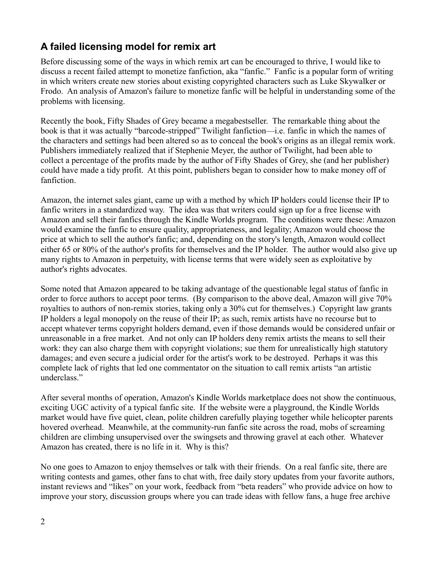# **A failed licensing model for remix art**

Before discussing some of the ways in which remix art can be encouraged to thrive, I would like to discuss a recent failed attempt to monetize fanfiction, aka "fanfic." Fanfic is a popular form of writing in which writers create new stories about existing copyrighted characters such as Luke Skywalker or Frodo. An analysis of Amazon's failure to monetize fanfic will be helpful in understanding some of the problems with licensing.

Recently the book, Fifty Shades of Grey became a megabestseller. The remarkable thing about the book is that it was actually "barcode-stripped" Twilight fanfiction—i.e. fanfic in which the names of the characters and settings had been altered so as to conceal the book's origins as an illegal remix work. Publishers immediately realized that if Stephenie Meyer, the author of Twilight, had been able to collect a percentage of the profits made by the author of Fifty Shades of Grey, she (and her publisher) could have made a tidy profit. At this point, publishers began to consider how to make money off of fanfiction.

Amazon, the internet sales giant, came up with a method by which IP holders could license their IP to fanfic writers in a standardized way. The idea was that writers could sign up for a free license with Amazon and sell their fanfics through the Kindle Worlds program. The conditions were these: Amazon would examine the fanfic to ensure quality, appropriateness, and legality; Amazon would choose the price at which to sell the author's fanfic; and, depending on the story's length, Amazon would collect either 65 or 80% of the author's profits for themselves and the IP holder. The author would also give up many rights to Amazon in perpetuity, with license terms that were widely seen as exploitative by author's rights advocates.

Some noted that Amazon appeared to be taking advantage of the questionable legal status of fanfic in order to force authors to accept poor terms. (By comparison to the above deal, Amazon will give 70% royalties to authors of non-remix stories, taking only a 30% cut for themselves.) Copyright law grants IP holders a legal monopoly on the reuse of their IP; as such, remix artists have no recourse but to accept whatever terms copyright holders demand, even if those demands would be considered unfair or unreasonable in a free market. And not only can IP holders deny remix artists the means to sell their work: they can also charge them with copyright violations; sue them for unrealistically high statutory damages; and even secure a judicial order for the artist's work to be destroyed. Perhaps it was this complete lack of rights that led one commentator on the situation to call remix artists "an artistic underclass."

After several months of operation, Amazon's Kindle Worlds marketplace does not show the continuous, exciting UGC activity of a typical fanfic site. If the website were a playground, the Kindle Worlds market would have five quiet, clean, polite children carefully playing together while helicopter parents hovered overhead. Meanwhile, at the community-run fanfic site across the road, mobs of screaming children are climbing unsupervised over the swingsets and throwing gravel at each other. Whatever Amazon has created, there is no life in it. Why is this?

No one goes to Amazon to enjoy themselves or talk with their friends. On a real fanfic site, there are writing contests and games, other fans to chat with, free daily story updates from your favorite authors, instant reviews and "likes" on your work, feedback from "beta readers" who provide advice on how to improve your story, discussion groups where you can trade ideas with fellow fans, a huge free archive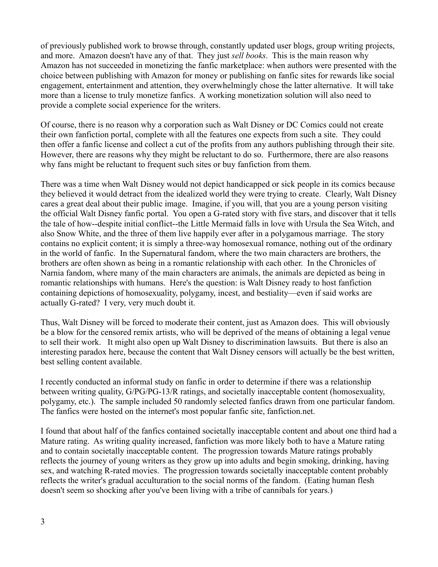of previously published work to browse through, constantly updated user blogs, group writing projects, and more. Amazon doesn't have any of that. They just *sell books*. This is the main reason why Amazon has not succeeded in monetizing the fanfic marketplace: when authors were presented with the choice between publishing with Amazon for money or publishing on fanfic sites for rewards like social engagement, entertainment and attention, they overwhelmingly chose the latter alternative. It will take more than a license to truly monetize fanfics. A working monetization solution will also need to provide a complete social experience for the writers.

Of course, there is no reason why a corporation such as Walt Disney or DC Comics could not create their own fanfiction portal, complete with all the features one expects from such a site. They could then offer a fanfic license and collect a cut of the profits from any authors publishing through their site. However, there are reasons why they might be reluctant to do so. Furthermore, there are also reasons why fans might be reluctant to frequent such sites or buy fanfiction from them.

There was a time when Walt Disney would not depict handicapped or sick people in its comics because they believed it would detract from the idealized world they were trying to create. Clearly, Walt Disney cares a great deal about their public image. Imagine, if you will, that you are a young person visiting the official Walt Disney fanfic portal. You open a G-rated story with five stars, and discover that it tells the tale of how--despite initial conflict--the Little Mermaid falls in love with Ursula the Sea Witch, and also Snow White, and the three of them live happily ever after in a polygamous marriage. The story contains no explicit content; it is simply a three-way homosexual romance, nothing out of the ordinary in the world of fanfic. In the Supernatural fandom, where the two main characters are brothers, the brothers are often shown as being in a romantic relationship with each other. In the Chronicles of Narnia fandom, where many of the main characters are animals, the animals are depicted as being in romantic relationships with humans. Here's the question: is Walt Disney ready to host fanfiction containing depictions of homosexuality, polygamy, incest, and bestiality—even if said works are actually G-rated? I very, very much doubt it.

Thus, Walt Disney will be forced to moderate their content, just as Amazon does. This will obviously be a blow for the censored remix artists, who will be deprived of the means of obtaining a legal venue to sell their work. It might also open up Walt Disney to discrimination lawsuits. But there is also an interesting paradox here, because the content that Walt Disney censors will actually be the best written, best selling content available.

I recently conducted an informal study on fanfic in order to determine if there was a relationship between writing quality, G/PG/PG-13/R ratings, and societally inacceptable content (homosexuality, polygamy, etc.). The sample included 50 randomly selected fanfics drawn from one particular fandom. The fanfics were hosted on the internet's most popular fanfic site, fanfiction.net.

I found that about half of the fanfics contained societally inacceptable content and about one third had a Mature rating. As writing quality increased, fanfiction was more likely both to have a Mature rating and to contain societally inacceptable content. The progression towards Mature ratings probably reflects the journey of young writers as they grow up into adults and begin smoking, drinking, having sex, and watching R-rated movies. The progression towards societally inacceptable content probably reflects the writer's gradual acculturation to the social norms of the fandom. (Eating human flesh doesn't seem so shocking after you've been living with a tribe of cannibals for years.)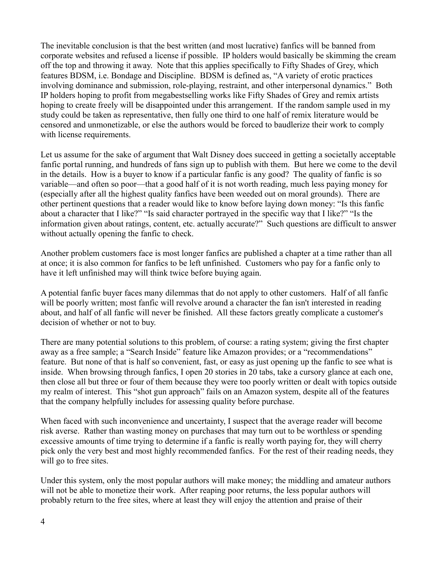The inevitable conclusion is that the best written (and most lucrative) fanfics will be banned from corporate websites and refused a license if possible. IP holders would basically be skimming the cream off the top and throwing it away. Note that this applies specifically to Fifty Shades of Grey, which features BDSM, i.e. Bondage and Discipline. BDSM is defined as, "A variety of erotic practices involving dominance and submission, role-playing, restraint, and other interpersonal dynamics." Both IP holders hoping to profit from megabestselling works like Fifty Shades of Grey and remix artists hoping to create freely will be disappointed under this arrangement. If the random sample used in my study could be taken as representative, then fully one third to one half of remix literature would be censored and unmonetizable, or else the authors would be forced to baudlerize their work to comply with license requirements.

Let us assume for the sake of argument that Walt Disney does succeed in getting a societally acceptable fanfic portal running, and hundreds of fans sign up to publish with them. But here we come to the devil in the details. How is a buyer to know if a particular fanfic is any good? The quality of fanfic is so variable—and often so poor—that a good half of it is not worth reading, much less paying money for (especially after all the highest quality fanfics have been weeded out on moral grounds). There are other pertinent questions that a reader would like to know before laying down money: "Is this fanfic about a character that I like?" "Is said character portrayed in the specific way that I like?" "Is the information given about ratings, content, etc. actually accurate?" Such questions are difficult to answer without actually opening the fanfic to check.

Another problem customers face is most longer fanfics are published a chapter at a time rather than all at once; it is also common for fanfics to be left unfinished. Customers who pay for a fanfic only to have it left unfinished may will think twice before buying again.

A potential fanfic buyer faces many dilemmas that do not apply to other customers. Half of all fanfic will be poorly written; most fanfic will revolve around a character the fan isn't interested in reading about, and half of all fanfic will never be finished. All these factors greatly complicate a customer's decision of whether or not to buy.

There are many potential solutions to this problem, of course: a rating system; giving the first chapter away as a free sample; a "Search Inside" feature like Amazon provides; or a "recommendations" feature. But none of that is half so convenient, fast, or easy as just opening up the fanfic to see what is inside. When browsing through fanfics, I open 20 stories in 20 tabs, take a cursory glance at each one, then close all but three or four of them because they were too poorly written or dealt with topics outside my realm of interest. This "shot gun approach" fails on an Amazon system, despite all of the features that the company helpfully includes for assessing quality before purchase.

When faced with such inconvenience and uncertainty, I suspect that the average reader will become risk averse. Rather than wasting money on purchases that may turn out to be worthless or spending excessive amounts of time trying to determine if a fanfic is really worth paying for, they will cherry pick only the very best and most highly recommended fanfics. For the rest of their reading needs, they will go to free sites.

Under this system, only the most popular authors will make money; the middling and amateur authors will not be able to monetize their work. After reaping poor returns, the less popular authors will probably return to the free sites, where at least they will enjoy the attention and praise of their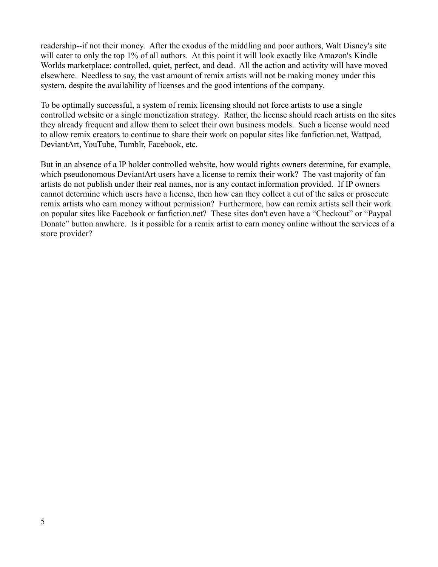readership--if not their money. After the exodus of the middling and poor authors, Walt Disney's site will cater to only the top 1% of all authors. At this point it will look exactly like Amazon's Kindle Worlds marketplace: controlled, quiet, perfect, and dead. All the action and activity will have moved elsewhere. Needless to say, the vast amount of remix artists will not be making money under this system, despite the availability of licenses and the good intentions of the company.

To be optimally successful, a system of remix licensing should not force artists to use a single controlled website or a single monetization strategy. Rather, the license should reach artists on the sites they already frequent and allow them to select their own business models. Such a license would need to allow remix creators to continue to share their work on popular sites like fanfiction.net, Wattpad, DeviantArt, YouTube, Tumblr, Facebook, etc.

But in an absence of a IP holder controlled website, how would rights owners determine, for example, which pseudonomous DeviantArt users have a license to remix their work? The vast majority of fan artists do not publish under their real names, nor is any contact information provided. If IP owners cannot determine which users have a license, then how can they collect a cut of the sales or prosecute remix artists who earn money without permission? Furthermore, how can remix artists sell their work on popular sites like Facebook or fanfiction.net? These sites don't even have a "Checkout" or "Paypal Donate" button anwhere. Is it possible for a remix artist to earn money online without the services of a store provider?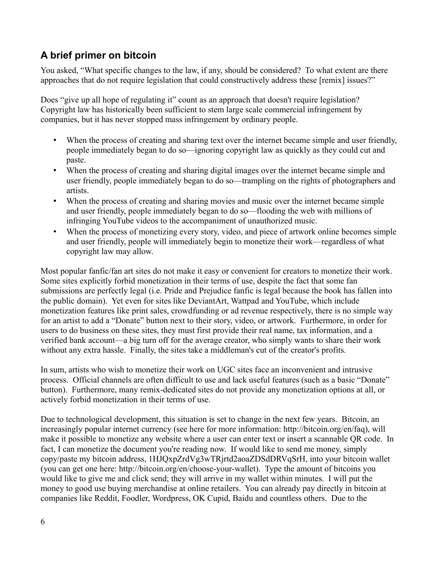# **A brief primer on bitcoin**

You asked, "What specific changes to the law, if any, should be considered? To what extent are there approaches that do not require legislation that could constructively address these [remix] issues?"

Does "give up all hope of regulating it" count as an approach that doesn't require legislation? Copyright law has historically been sufficient to stem large scale commercial infringement by companies, but it has never stopped mass infringement by ordinary people.

- When the process of creating and sharing text over the internet became simple and user friendly, people immediately began to do so—ignoring copyright law as quickly as they could cut and paste.
- When the process of creating and sharing digital images over the internet became simple and user friendly, people immediately began to do so—trampling on the rights of photographers and artists.
- When the process of creating and sharing movies and music over the internet became simple and user friendly, people immediately began to do so—flooding the web with millions of infringing YouTube videos to the accompaniment of unauthorized music.
- When the process of monetizing every story, video, and piece of artwork online becomes simple and user friendly, people will immediately begin to monetize their work—regardless of what copyright law may allow.

Most popular fanfic/fan art sites do not make it easy or convenient for creators to monetize their work. Some sites explicitly forbid monetization in their terms of use, despite the fact that some fan submissions are perfectly legal (i.e. Pride and Prejudice fanfic is legal because the book has fallen into the public domain). Yet even for sites like DeviantArt, Wattpad and YouTube, which include monetization features like print sales, crowdfunding or ad revenue respectively, there is no simple way for an artist to add a "Donate" button next to their story, video, or artwork. Furthermore, in order for users to do business on these sites, they must first provide their real name, tax information, and a verified bank account—a big turn off for the average creator, who simply wants to share their work without any extra hassle. Finally, the sites take a middleman's cut of the creator's profits.

In sum, artists who wish to monetize their work on UGC sites face an inconvenient and intrusive process. Official channels are often difficult to use and lack useful features (such as a basic "Donate" button). Furthermore, many remix-dedicated sites do not provide any monetization options at all, or actively forbid monetization in their terms of use.

Due to technological development, this situation is set to change in the next few years. Bitcoin, an increasingly popular internet currency (see here for more information: http://bitcoin.org/en/faq), will make it possible to monetize any website where a user can enter text or insert a scannable QR code. In fact, I can monetize the document you're reading now. If would like to send me money, simply copy/paste my bitcoin address, 1HJQxpZrdVg3wTRjrtd2aoaZDSdDRVqSrH, into your bitcoin wallet (you can get one here: http://bitcoin.org/en/choose-your-wallet). Type the amount of bitcoins you would like to give me and click send; they will arrive in my wallet within minutes. I will put the money to good use buying merchandise at online retailers. You can already pay directly in bitcoin at companies like Reddit, Foodler, Wordpress, OK Cupid, Baidu and countless others. Due to the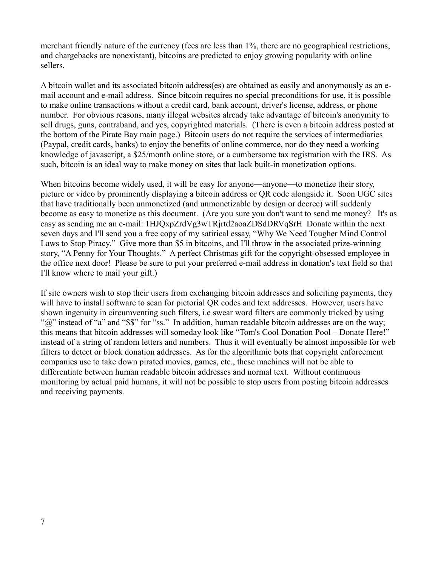merchant friendly nature of the currency (fees are less than 1%, there are no geographical restrictions, and chargebacks are nonexistant), bitcoins are predicted to enjoy growing popularity with online sellers.

A bitcoin wallet and its associated bitcoin address(es) are obtained as easily and anonymously as an email account and e-mail address. Since bitcoin requires no special preconditions for use, it is possible to make online transactions without a credit card, bank account, driver's license, address, or phone number. For obvious reasons, many illegal websites already take advantage of bitcoin's anonymity to sell drugs, guns, contraband, and yes, copyrighted materials. (There is even a bitcoin address posted at the bottom of the Pirate Bay main page.) Bitcoin users do not require the services of intermediaries (Paypal, credit cards, banks) to enjoy the benefits of online commerce, nor do they need a working knowledge of javascript, a \$25/month online store, or a cumbersome tax registration with the IRS. As such, bitcoin is an ideal way to make money on sites that lack built-in monetization options.

When bitcoins become widely used, it will be easy for anyone—anyone—to monetize their story, picture or video by prominently displaying a bitcoin address or QR code alongside it. Soon UGC sites that have traditionally been unmonetized (and unmonetizable by design or decree) will suddenly become as easy to monetize as this document. (Are you sure you don't want to send me money? It's as easy as sending me an e-mail: 1HJQxpZrdVg3wTRjrtd2aoaZDSdDRVqSrH Donate within the next seven days and I'll send you a free copy of my satirical essay, "Why We Need Tougher Mind Control Laws to Stop Piracy." Give more than \$5 in bitcoins, and I'll throw in the associated prize-winning story, "A Penny for Your Thoughts." A perfect Christmas gift for the copyright-obsessed employee in the office next door! Please be sure to put your preferred e-mail address in donation's text field so that I'll know where to mail your gift.)

If site owners wish to stop their users from exchanging bitcoin addresses and soliciting payments, they will have to install software to scan for pictorial QR codes and text addresses. However, users have shown ingenuity in circumventing such filters, i.e swear word filters are commonly tricked by using "(a)" instead of "a" and "\$\$" for "ss." In addition, human readable bitcoin addresses are on the way; this means that bitcoin addresses will someday look like "Tom's Cool Donation Pool – Donate Here!" instead of a string of random letters and numbers. Thus it will eventually be almost impossible for web filters to detect or block donation addresses. As for the algorithmic bots that copyright enforcement companies use to take down pirated movies, games, etc., these machines will not be able to differentiate between human readable bitcoin addresses and normal text. Without continuous monitoring by actual paid humans, it will not be possible to stop users from posting bitcoin addresses and receiving payments.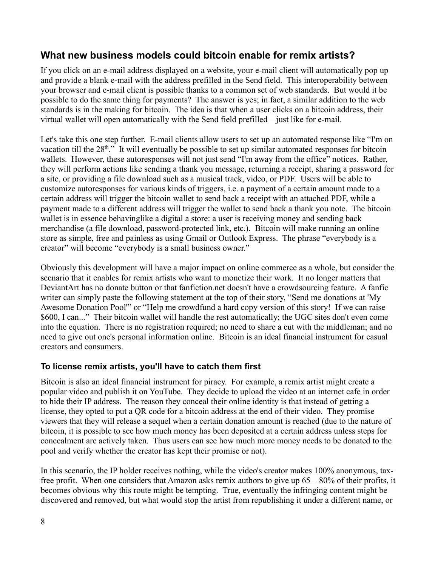# **What new business models could bitcoin enable for remix artists?**

If you click on an e-mail address displayed on a website, your e-mail client will automatically pop up and provide a blank e-mail with the address prefilled in the Send field. This interoperability between your browser and e-mail client is possible thanks to a common set of web standards. But would it be possible to do the same thing for payments? The answer is yes; in fact, a similar addition to the web standards is in the making for bitcoin. The idea is that when a user clicks on a bitcoin address, their virtual wallet will open automatically with the Send field prefilled—just like for e-mail.

Let's take this one step further. E-mail clients allow users to set up an automated response like "I'm on vacation till the  $28<sup>th</sup>$ ." It will eventually be possible to set up similar automated responses for bitcoin wallets. However, these autoresponses will not just send "I'm away from the office" notices. Rather, they will perform actions like sending a thank you message, returning a receipt, sharing a password for a site, or providing a file download such as a musical track, video, or PDF. Users will be able to customize autoresponses for various kinds of triggers, i.e. a payment of a certain amount made to a certain address will trigger the bitcoin wallet to send back a receipt with an attached PDF, while a payment made to a different address will trigger the wallet to send back a thank you note. The bitcoin wallet is in essence behavinglike a digital a store: a user is receiving money and sending back merchandise (a file download, password-protected link, etc.). Bitcoin will make running an online store as simple, free and painless as using Gmail or Outlook Express. The phrase "everybody is a creator" will become "everybody is a small business owner."

Obviously this development will have a major impact on online commerce as a whole, but consider the scenario that it enables for remix artists who want to monetize their work. It no longer matters that DeviantArt has no donate button or that fanfiction.net doesn't have a crowdsourcing feature. A fanfic writer can simply paste the following statement at the top of their story, "Send me donations at 'My Awesome Donation Pool'" or "Help me crowdfund a hard copy version of this story! If we can raise \$600, I can..." Their bitcoin wallet will handle the rest automatically; the UGC sites don't even come into the equation. There is no registration required; no need to share a cut with the middleman; and no need to give out one's personal information online. Bitcoin is an ideal financial instrument for casual creators and consumers.

#### **To license remix artists, you'll have to catch them first**

Bitcoin is also an ideal financial instrument for piracy. For example, a remix artist might create a popular video and publish it on YouTube. They decide to upload the video at an internet cafe in order to hide their IP address. The reason they conceal their online identity is that instead of getting a license, they opted to put a QR code for a bitcoin address at the end of their video. They promise viewers that they will release a sequel when a certain donation amount is reached (due to the nature of bitcoin, it is possible to see how much money has been deposited at a certain address unless steps for concealment are actively taken. Thus users can see how much more money needs to be donated to the pool and verify whether the creator has kept their promise or not).

In this scenario, the IP holder receives nothing, while the video's creator makes 100% anonymous, taxfree profit. When one considers that Amazon asks remix authors to give up 65 – 80% of their profits, it becomes obvious why this route might be tempting. True, eventually the infringing content might be discovered and removed, but what would stop the artist from republishing it under a different name, or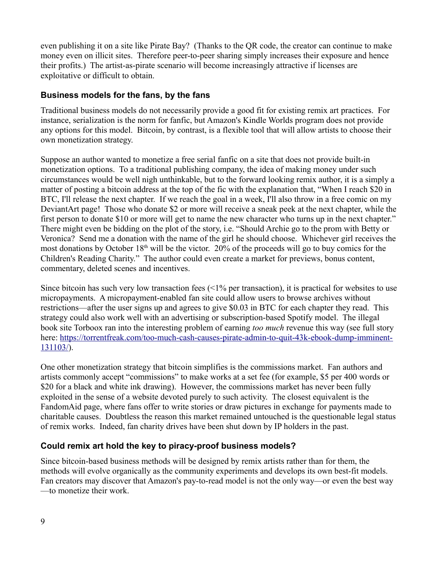even publishing it on a site like Pirate Bay? (Thanks to the QR code, the creator can continue to make money even on illicit sites. Therefore peer-to-peer sharing simply increases their exposure and hence their profits.) The artist-as-pirate scenario will become increasingly attractive if licenses are exploitative or difficult to obtain.

#### **Business models for the fans, by the fans**

Traditional business models do not necessarily provide a good fit for existing remix art practices. For instance, serialization is the norm for fanfic, but Amazon's Kindle Worlds program does not provide any options for this model. Bitcoin, by contrast, is a flexible tool that will allow artists to choose their own monetization strategy.

Suppose an author wanted to monetize a free serial fanfic on a site that does not provide built-in monetization options. To a traditional publishing company, the idea of making money under such circumstances would be well nigh unthinkable, but to the forward looking remix author, it is a simply a matter of posting a bitcoin address at the top of the fic with the explanation that, "When I reach \$20 in BTC, I'll release the next chapter. If we reach the goal in a week, I'll also throw in a free comic on my DeviantArt page! Those who donate \$2 or more will receive a sneak peek at the next chapter, while the first person to donate \$10 or more will get to name the new character who turns up in the next chapter." There might even be bidding on the plot of the story, i.e. "Should Archie go to the prom with Betty or Veronica? Send me a donation with the name of the girl he should choose. Whichever girl receives the most donations by October 18<sup>th</sup> will be the victor. 20% of the proceeds will go to buy comics for the Children's Reading Charity." The author could even create a market for previews, bonus content, commentary, deleted scenes and incentives.

Since bitcoin has such very low transaction fees  $\left($  < 1% per transaction), it is practical for websites to use micropayments. A micropayment-enabled fan site could allow users to browse archives without restrictions—after the user signs up and agrees to give \$0.03 in BTC for each chapter they read. This strategy could also work well with an advertising or subscription-based Spotify model. The illegal book site Torboox ran into the interesting problem of earning *too much* revenue this way (see full story here: [https://torrentfreak.com/too-much-cash-causes-pirate-admin-to-quit-43k-ebook-dump-imminent-](https://torrentfreak.com/too-much-cash-causes-pirate-admin-to-quit-43k-ebook-dump-imminent-131103/)[131103/\)](https://torrentfreak.com/too-much-cash-causes-pirate-admin-to-quit-43k-ebook-dump-imminent-131103/).

One other monetization strategy that bitcoin simplifies is the commissions market. Fan authors and artists commonly accept "commissions" to make works at a set fee (for example, \$5 per 400 words or \$20 for a black and white ink drawing). However, the commissions market has never been fully exploited in the sense of a website devoted purely to such activity. The closest equivalent is the FandomAid page, where fans offer to write stories or draw pictures in exchange for payments made to charitable causes. Doubtless the reason this market remained untouched is the questionable legal status of remix works. Indeed, fan charity drives have been shut down by IP holders in the past.

#### **Could remix art hold the key to piracy-proof business models?**

Since bitcoin-based business methods will be designed by remix artists rather than for them, the methods will evolve organically as the community experiments and develops its own best-fit models. Fan creators may discover that Amazon's pay-to-read model is not the only way—or even the best way —to monetize their work.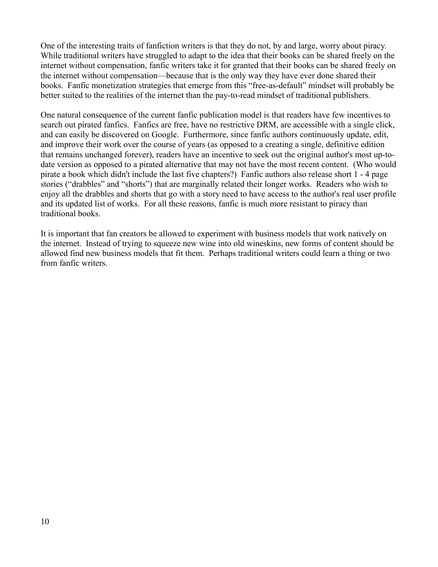One of the interesting traits of fanfiction writers is that they do not, by and large, worry about piracy. While traditional writers have struggled to adapt to the idea that their books can be shared freely on the internet without compensation, fanfic writers take it for granted that their books can be shared freely on the internet without compensation—because that is the only way they have ever done shared their books. Fanfic monetization strategies that emerge from this "free-as-default" mindset will probably be better suited to the realities of the internet than the pay-to-read mindset of traditional publishers.

One natural consequence of the current fanfic publication model is that readers have few incentives to search out pirated fanfics. Fanfics are free, have no restrictive DRM, are accessible with a single click, and can easily be discovered on Google. Furthermore, since fanfic authors continuously update, edit, and improve their work over the course of years (as opposed to a creating a single, definitive edition that remains unchanged forever), readers have an incentive to seek out the original author's most up-todate version as opposed to a pirated alternative that may not have the most recent content. (Who would pirate a book which didn't include the last five chapters?) Fanfic authors also release short 1 - 4 page stories ("drabbles" and "shorts") that are marginally related their longer works. Readers who wish to enjoy all the drabbles and shorts that go with a story need to have access to the author's real user profile and its updated list of works. For all these reasons, fanfic is much more resistant to piracy than traditional books.

It is important that fan creators be allowed to experiment with business models that work natively on the internet. Instead of trying to squeeze new wine into old wineskins, new forms of content should be allowed find new business models that fit them. Perhaps traditional writers could learn a thing or two from fanfic writers.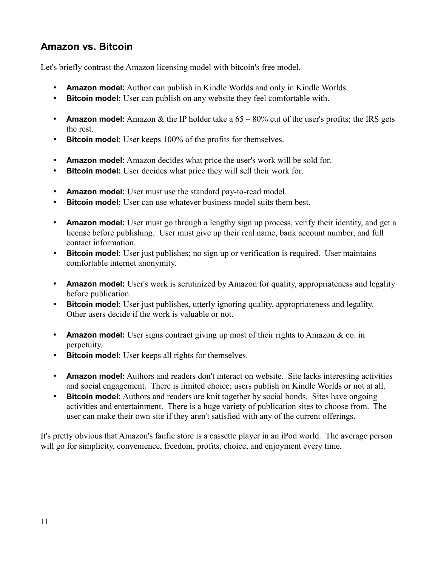# **Amazon vs. Bitcoin**

Let's briefly contrast the Amazon licensing model with bitcoin's free model.

- **Amazon model:** Author can publish in Kindle Worlds and only in Kindle Worlds.
- **Bitcoin model:** User can publish on any website they feel comfortable with.
- **Amazon model:** Amazon  $\&$  the IP holder take a  $65 80\%$  cut of the user's profits; the IRS gets the rest.
- **Bitcoin model:** User keeps 100% of the profits for themselves.
- **Amazon model:** Amazon decides what price the user's work will be sold for.
- **Bitcoin model:** User decides what price they will sell their work for.
- **Amazon model:** User must use the standard pay-to-read model.
- **Bitcoin model:** User can use whatever business model suits them best.
- **Amazon model:** User must go through a lengthy sign up process, verify their identity, and get a license before publishing. User must give up their real name, bank account number, and full contact information.
- **Bitcoin model:** User just publishes; no sign up or verification is required. User maintains comfortable internet anonymity.
- **Amazon model:** User's work is scrutinized by Amazon for quality, appropriateness and legality before publication.
- **Bitcoin model:** User just publishes, utterly ignoring quality, appropriateness and legality. Other users decide if the work is valuable or not.
- **Amazon model:** User signs contract giving up most of their rights to Amazon & co. in perpetuity.
- **Bitcoin model:** User keeps all rights for themselves.
- **Amazon model:** Authors and readers don't interact on website. Site lacks interesting activities and social engagement. There is limited choice; users publish on Kindle Worlds or not at all.
- **Bitcoin model:** Authors and readers are knit together by social bonds. Sites have ongoing activities and entertainment. There is a huge variety of publication sites to choose from. The user can make their own site if they aren't satisfied with any of the current offerings.

It's pretty obvious that Amazon's fanfic store is a cassette player in an iPod world. The average person will go for simplicity, convenience, freedom, profits, choice, and enjoyment every time.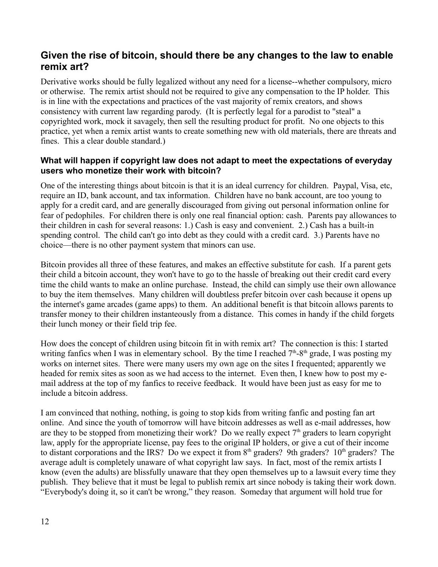# **Given the rise of bitcoin, should there be any changes to the law to enable remix art?**

Derivative works should be fully legalized without any need for a license--whether compulsory, micro or otherwise. The remix artist should not be required to give any compensation to the IP holder. This is in line with the expectations and practices of the vast majority of remix creators, and shows consistency with current law regarding parody. (It is perfectly legal for a parodist to "steal" a copyrighted work, mock it savagely, then sell the resulting product for profit. No one objects to this practice, yet when a remix artist wants to create something new with old materials, there are threats and fines. This a clear double standard.)

#### **What will happen if copyright law does not adapt to meet the expectations of everyday users who monetize their work with bitcoin?**

One of the interesting things about bitcoin is that it is an ideal currency for children. Paypal, Visa, etc, require an ID, bank account, and tax information. Children have no bank account, are too young to apply for a credit card, and are generally discouraged from giving out personal information online for fear of pedophiles. For children there is only one real financial option: cash. Parents pay allowances to their children in cash for several reasons: 1.) Cash is easy and convenient. 2.) Cash has a built-in spending control. The child can't go into debt as they could with a credit card. 3.) Parents have no choice—there is no other payment system that minors can use.

Bitcoin provides all three of these features, and makes an effective substitute for cash. If a parent gets their child a bitcoin account, they won't have to go to the hassle of breaking out their credit card every time the child wants to make an online purchase. Instead, the child can simply use their own allowance to buy the item themselves. Many children will doubtless prefer bitcoin over cash because it opens up the internet's game arcades (game apps) to them. An additional benefit is that bitcoin allows parents to transfer money to their children instanteously from a distance. This comes in handy if the child forgets their lunch money or their field trip fee.

How does the concept of children using bitcoin fit in with remix art? The connection is this: I started writing fanfics when I was in elementary school. By the time I reached  $7<sup>th</sup>$ -8<sup>th</sup> grade, I was posting my works on internet sites. There were many users my own age on the sites I frequented; apparently we headed for remix sites as soon as we had access to the internet. Even then, I knew how to post my email address at the top of my fanfics to receive feedback. It would have been just as easy for me to include a bitcoin address.

I am convinced that nothing, nothing, is going to stop kids from writing fanfic and posting fan art online. And since the youth of tomorrow will have bitcoin addresses as well as e-mail addresses, how are they to be stopped from monetizing their work? Do we really expect  $7<sup>th</sup>$  graders to learn copyright law, apply for the appropriate license, pay fees to the original IP holders, or give a cut of their income to distant corporations and the IRS? Do we expect it from  $8<sup>th</sup>$  graders? 9th graders?  $10<sup>th</sup>$  graders? The average adult is completely unaware of what copyright law says. In fact, most of the remix artists I know (even the adults) are blissfully unaware that they open themselves up to a lawsuit every time they publish. They believe that it must be legal to publish remix art since nobody is taking their work down. "Everybody's doing it, so it can't be wrong," they reason. Someday that argument will hold true for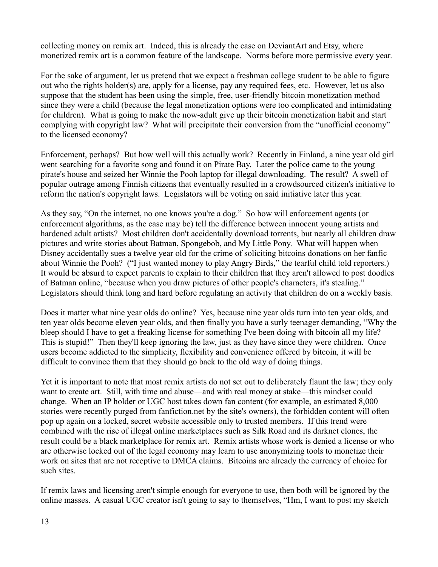collecting money on remix art. Indeed, this is already the case on DeviantArt and Etsy, where monetized remix art is a common feature of the landscape. Norms before more permissive every year.

For the sake of argument, let us pretend that we expect a freshman college student to be able to figure out who the rights holder(s) are, apply for a license, pay any required fees, etc. However, let us also suppose that the student has been using the simple, free, user-friendly bitcoin monetization method since they were a child (because the legal monetization options were too complicated and intimidating for children). What is going to make the now-adult give up their bitcoin monetization habit and start complying with copyright law? What will precipitate their conversion from the "unofficial economy" to the licensed economy?

Enforcement, perhaps? But how well will this actually work? Recently in Finland, a nine year old girl went searching for a favorite song and found it on Pirate Bay. Later the police came to the young pirate's house and seized her Winnie the Pooh laptop for illegal downloading. The result? A swell of popular outrage among Finnish citizens that eventually resulted in a crowdsourced citizen's initiative to reform the nation's copyright laws. Legislators will be voting on said initiative later this year.

As they say, "On the internet, no one knows you're a dog." So how will enforcement agents (or enforcement algorithms, as the case may be) tell the difference between innocent young artists and hardened adult artists? Most children don't accidentally download torrents, but nearly all children draw pictures and write stories about Batman, Spongebob, and My Little Pony. What will happen when Disney accidentally sues a twelve year old for the crime of soliciting bitcoins donations on her fanfic about Winnie the Pooh? ("I just wanted money to play Angry Birds," the tearful child told reporters.) It would be absurd to expect parents to explain to their children that they aren't allowed to post doodles of Batman online, "because when you draw pictures of other people's characters, it's stealing." Legislators should think long and hard before regulating an activity that children do on a weekly basis.

Does it matter what nine year olds do online? Yes, because nine year olds turn into ten year olds, and ten year olds become eleven year olds, and then finally you have a surly teenager demanding, "Why the bleep should I have to get a freaking license for something I've been doing with bitcoin all my life? This is stupid!" Then they'll keep ignoring the law, just as they have since they were children. Once users become addicted to the simplicity, flexibility and convenience offered by bitcoin, it will be difficult to convince them that they should go back to the old way of doing things.

Yet it is important to note that most remix artists do not set out to deliberately flaunt the law; they only want to create art. Still, with time and abuse—and with real money at stake—this mindset could change. When an IP holder or UGC host takes down fan content (for example, an estimated 8,000 stories were recently purged from fanfiction.net by the site's owners), the forbidden content will often pop up again on a locked, secret website accessible only to trusted members. If this trend were combined with the rise of illegal online marketplaces such as Silk Road and its darknet clones, the result could be a black marketplace for remix art. Remix artists whose work is denied a license or who are otherwise locked out of the legal economy may learn to use anonymizing tools to monetize their work on sites that are not receptive to DMCA claims. Bitcoins are already the currency of choice for such sites.

If remix laws and licensing aren't simple enough for everyone to use, then both will be ignored by the online masses. A casual UGC creator isn't going to say to themselves, "Hm, I want to post my sketch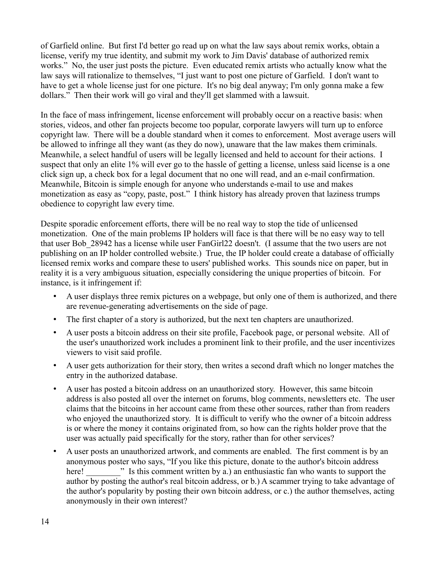of Garfield online. But first I'd better go read up on what the law says about remix works, obtain a license, verify my true identity, and submit my work to Jim Davis' database of authorized remix works." No, the user just posts the picture. Even educated remix artists who actually know what the law says will rationalize to themselves, "I just want to post one picture of Garfield. I don't want to have to get a whole license just for one picture. It's no big deal anyway; I'm only gonna make a few dollars." Then their work will go viral and they'll get slammed with a lawsuit.

In the face of mass infringement, license enforcement will probably occur on a reactive basis: when stories, videos, and other fan projects become too popular, corporate lawyers will turn up to enforce copyright law. There will be a double standard when it comes to enforcement. Most average users will be allowed to infringe all they want (as they do now), unaware that the law makes them criminals. Meanwhile, a select handful of users will be legally licensed and held to account for their actions. I suspect that only an elite 1% will ever go to the hassle of getting a license, unless said license is a one click sign up, a check box for a legal document that no one will read, and an e-mail confirmation. Meanwhile, Bitcoin is simple enough for anyone who understands e-mail to use and makes monetization as easy as "copy, paste, post." I think history has already proven that laziness trumps obedience to copyright law every time.

Despite sporadic enforcement efforts, there will be no real way to stop the tide of unlicensed monetization. One of the main problems IP holders will face is that there will be no easy way to tell that user Bob\_28942 has a license while user FanGirl22 doesn't. (I assume that the two users are not publishing on an IP holder controlled website.) True, the IP holder could create a database of officially licensed remix works and compare these to users' published works. This sounds nice on paper, but in reality it is a very ambiguous situation, especially considering the unique properties of bitcoin. For instance, is it infringement if:

- A user displays three remix pictures on a webpage, but only one of them is authorized, and there are revenue-generating advertisements on the side of page.
- The first chapter of a story is authorized, but the next ten chapters are unauthorized.
- A user posts a bitcoin address on their site profile, Facebook page, or personal website. All of the user's unauthorized work includes a prominent link to their profile, and the user incentivizes viewers to visit said profile.
- A user gets authorization for their story, then writes a second draft which no longer matches the entry in the authorized database.
- A user has posted a bitcoin address on an unauthorized story. However, this same bitcoin address is also posted all over the internet on forums, blog comments, newsletters etc. The user claims that the bitcoins in her account came from these other sources, rather than from readers who enjoyed the unauthorized story. It is difficult to verify who the owner of a bitcoin address is or where the money it contains originated from, so how can the rights holder prove that the user was actually paid specifically for the story, rather than for other services?
- A user posts an unauthorized artwork, and comments are enabled. The first comment is by an anonymous poster who says, "If you like this picture, donate to the author's bitcoin address here!  $\cdot$  Is this comment written by a.) an enthusiastic fan who wants to support the author by posting the author's real bitcoin address, or b.) A scammer trying to take advantage of the author's popularity by posting their own bitcoin address, or c.) the author themselves, acting anonymously in their own interest?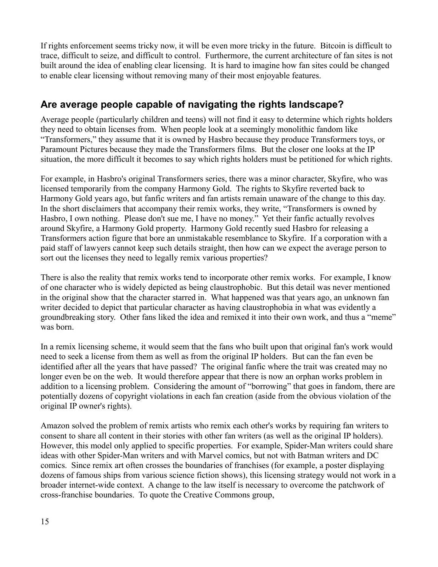If rights enforcement seems tricky now, it will be even more tricky in the future. Bitcoin is difficult to trace, difficult to seize, and difficult to control. Furthermore, the current architecture of fan sites is not built around the idea of enabling clear licensing. It is hard to imagine how fan sites could be changed to enable clear licensing without removing many of their most enjoyable features.

### **Are average people capable of navigating the rights landscape?**

Average people (particularly children and teens) will not find it easy to determine which rights holders they need to obtain licenses from. When people look at a seemingly monolithic fandom like "Transformers," they assume that it is owned by Hasbro because they produce Transformers toys, or Paramount Pictures because they made the Transformers films. But the closer one looks at the IP situation, the more difficult it becomes to say which rights holders must be petitioned for which rights.

For example, in Hasbro's original Transformers series, there was a minor character, Skyfire, who was licensed temporarily from the company Harmony Gold. The rights to Skyfire reverted back to Harmony Gold years ago, but fanfic writers and fan artists remain unaware of the change to this day. In the short disclaimers that accompany their remix works, they write, "Transformers is owned by Hasbro, I own nothing. Please don't sue me, I have no money." Yet their fanfic actually revolves around Skyfire, a Harmony Gold property. Harmony Gold recently sued Hasbro for releasing a Transformers action figure that bore an unmistakable resemblance to Skyfire. If a corporation with a paid staff of lawyers cannot keep such details straight, then how can we expect the average person to sort out the licenses they need to legally remix various properties?

There is also the reality that remix works tend to incorporate other remix works. For example, I know of one character who is widely depicted as being claustrophobic. But this detail was never mentioned in the original show that the character starred in. What happened was that years ago, an unknown fan writer decided to depict that particular character as having claustrophobia in what was evidently a groundbreaking story. Other fans liked the idea and remixed it into their own work, and thus a "meme" was born.

In a remix licensing scheme, it would seem that the fans who built upon that original fan's work would need to seek a license from them as well as from the original IP holders. But can the fan even be identified after all the years that have passed? The original fanfic where the trait was created may no longer even be on the web. It would therefore appear that there is now an orphan works problem in addition to a licensing problem. Considering the amount of "borrowing" that goes in fandom, there are potentially dozens of copyright violations in each fan creation (aside from the obvious violation of the original IP owner's rights).

Amazon solved the problem of remix artists who remix each other's works by requiring fan writers to consent to share all content in their stories with other fan writers (as well as the original IP holders). However, this model only applied to specific properties. For example, Spider-Man writers could share ideas with other Spider-Man writers and with Marvel comics, but not with Batman writers and DC comics. Since remix art often crosses the boundaries of franchises (for example, a poster displaying dozens of famous ships from various science fiction shows), this licensing strategy would not work in a broader internet-wide context. A change to the law itself is necessary to overcome the patchwork of cross-franchise boundaries. To quote the Creative Commons group,